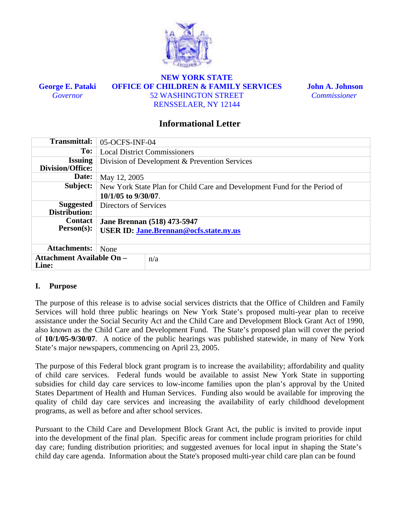

**George E. Pataki**  *Governor* 

## **NEW YORK STATE OFFICE OF CHILDREN & FAMILY SERVICES**  52 WASHINGTON STREET RENSSELAER, NY 12144

 **John A. Johnson**   *Commissioner* 

## **Informational Letter**

| <b>Transmittal:</b>                       | 05-OCFS-INF-04                                                                                        |  |  |  |  |  |  |
|-------------------------------------------|-------------------------------------------------------------------------------------------------------|--|--|--|--|--|--|
| To:                                       | <b>Local District Commissioners</b>                                                                   |  |  |  |  |  |  |
| <b>Issuing</b><br>Division/Office:        | Division of Development & Prevention Services                                                         |  |  |  |  |  |  |
| Date:                                     | May 12, 2005                                                                                          |  |  |  |  |  |  |
| Subject:                                  | New York State Plan for Child Care and Development Fund for the Period of<br>$10/1/05$ to $9/30/07$ . |  |  |  |  |  |  |
| <b>Suggested</b><br>Distribution:         | Directors of Services                                                                                 |  |  |  |  |  |  |
| <b>Contact</b><br>$Person(s)$ :           | <b>Jane Brennan (518) 473-5947</b><br><b>USER ID: Jane.Brennan@ocfs.state.ny.us</b>                   |  |  |  |  |  |  |
| <b>Attachments:</b>                       | None                                                                                                  |  |  |  |  |  |  |
| <b>Attachment Available On -</b><br>Line: | n/a                                                                                                   |  |  |  |  |  |  |

## **I. Purpose**

The purpose of this release is to advise social services districts that the Office of Children and Family Services will hold three public hearings on New York State's proposed multi-year plan to receive assistance under the Social Security Act and the Child Care and Development Block Grant Act of 1990, also known as the Child Care and Development Fund. The State's proposed plan will cover the period of **10/1/05-9/30/07**. A notice of the public hearings was published statewide, in many of New York State's major newspapers, commencing on April 23, 2005.

The purpose of this Federal block grant program is to increase the availability; affordability and quality of child care services. Federal funds would be available to assist New York State in supporting subsidies for child day care services to low-income families upon the plan's approval by the United States Department of Health and Human Services. Funding also would be available for improving the quality of child day care services and increasing the availability of early childhood development programs, as well as before and after school services.

Pursuant to the Child Care and Development Block Grant Act, the public is invited to provide input into the development of the final plan. Specific areas for comment include program priorities for child day care; funding distribution priorities; and suggested avenues for local input in shaping the State's child day care agenda. Information about the State's proposed multi-year child care plan can be found